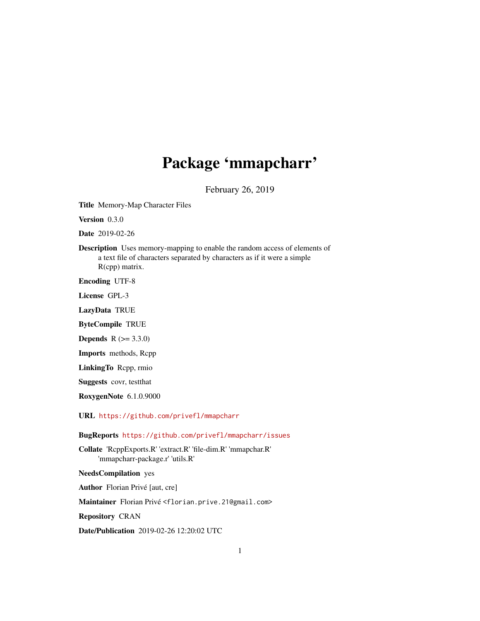## Package 'mmapcharr'

February 26, 2019

<span id="page-0-0"></span>Title Memory-Map Character Files

Version 0.3.0

Date 2019-02-26

Description Uses memory-mapping to enable the random access of elements of a text file of characters separated by characters as if it were a simple R(cpp) matrix.

Encoding UTF-8

License GPL-3

LazyData TRUE

ByteCompile TRUE

**Depends**  $R (= 3.3.0)$ 

Imports methods, Rcpp

LinkingTo Rcpp, rmio

Suggests covr, testthat

RoxygenNote 6.1.0.9000

URL <https://github.com/privefl/mmapcharr>

BugReports <https://github.com/privefl/mmapcharr/issues>

Collate 'RcppExports.R' 'extract.R' 'file-dim.R' 'mmapchar.R' 'mmapcharr-package.r' 'utils.R'

NeedsCompilation yes

Author Florian Privé [aut, cre]

Maintainer Florian Privé <florian.prive.21@gmail.com>

Repository CRAN

Date/Publication 2019-02-26 12:20:02 UTC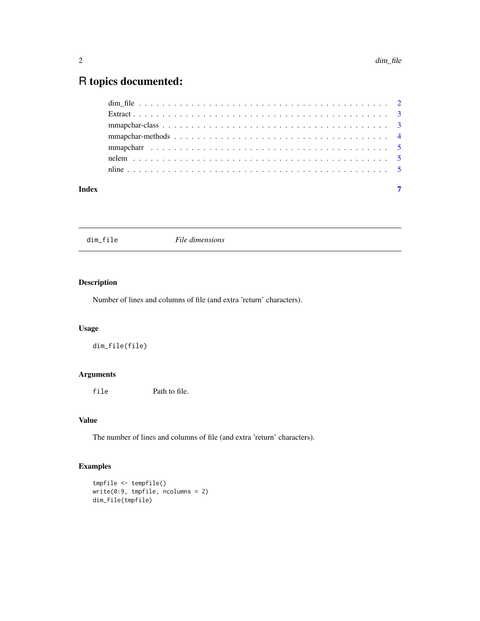### <span id="page-1-0"></span>R topics documented:

| Index | $\overline{7}$ |
|-------|----------------|

dim\_file *File dimensions*

#### Description

Number of lines and columns of file (and extra 'return' characters).

#### Usage

dim\_file(file)

#### Arguments

file Path to file.

#### Value

The number of lines and columns of file (and extra 'return' characters).

#### Examples

```
tmpfile <- tempfile()
write(0:9, tmpfile, ncolumns = 2)
dim_file(tmpfile)
```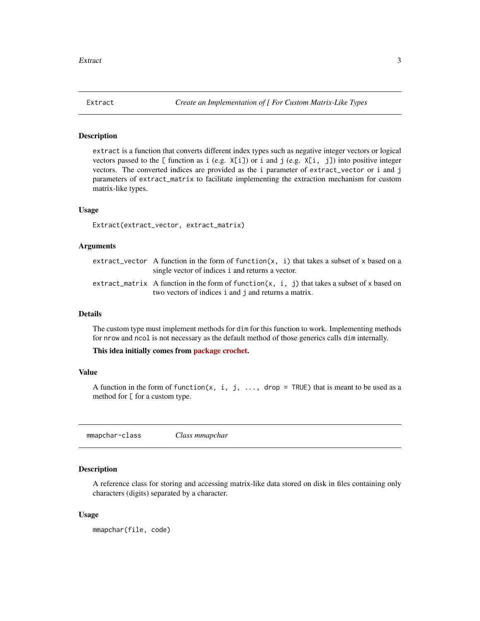<span id="page-2-0"></span>

#### Description

extract is a function that converts different index types such as negative integer vectors or logical vectors passed to the  $[$  function as i (e.g.  $X[i]$ ) or i and j (e.g.  $X[i, j]$ ) into positive integer vectors. The converted indices are provided as the i parameter of extract\_vector or i and j parameters of extract\_matrix to facilitate implementing the extraction mechanism for custom matrix-like types.

#### Usage

Extract(extract\_vector, extract\_matrix)

#### Arguments

| extract_vector A function in the form of function(x, i) that takes a subset of x based on a<br>single vector of indices i and returns a vector.      |
|------------------------------------------------------------------------------------------------------------------------------------------------------|
| extract_matrix A function in the form of function(x, i, j) that takes a subset of x based on<br>two vectors of indices i and j and returns a matrix. |

#### Details

The custom type must implement methods for dim for this function to work. Implementing methods for nrow and ncol is not necessary as the default method of those generics calls dim internally.

This idea initially comes from [package crochet.](https://goo.gl/3RDNQG)

#### Value

A function in the form of function(x, i, j, ..., drop = TRUE) that is meant to be used as a method for [ for a custom type.

<span id="page-2-1"></span>mmapchar-class *Class mmapchar*

#### Description

A reference class for storing and accessing matrix-like data stored on disk in files containing only characters (digits) separated by a character.

#### Usage

mmapchar(file, code)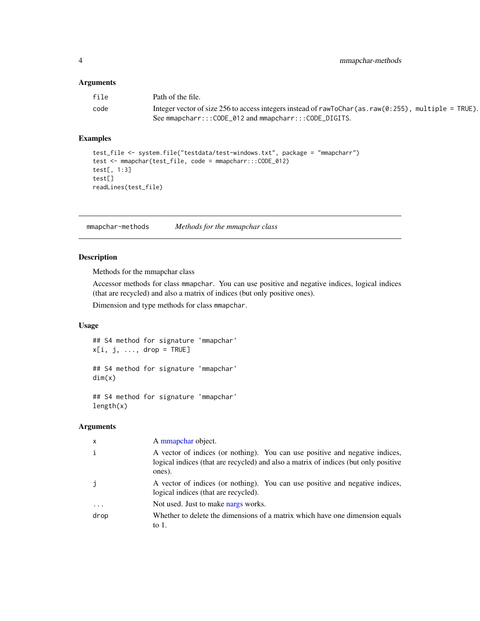#### <span id="page-3-0"></span>Arguments

| file | Path of the file.                                                                                             |
|------|---------------------------------------------------------------------------------------------------------------|
| code | Integer vector of size 256 to access integers instead of rawToChar(as.raw( $\theta$ : 255), multiple = TRUE). |
|      | See mmapcharr::: CODE_012 and mmapcharr::: CODE_DIGITS.                                                       |

#### Examples

```
test_file <- system.file("testdata/test-windows.txt", package = "mmapcharr")
test <- mmapchar(test_file, code = mmapcharr:::CODE_012)
test[, 1:3]
test[]
readLines(test_file)
```
mmapchar-methods *Methods for the mmapchar class*

#### Description

Methods for the mmapchar class

Accessor methods for class mmapchar. You can use positive and negative indices, logical indices (that are recycled) and also a matrix of indices (but only positive ones).

Dimension and type methods for class mmapchar.

#### Usage

## S4 method for signature 'mmapchar'  $x[i, j, ..., drop = TRUE]$ 

## S4 method for signature 'mmapchar' dim(x)

## S4 method for signature 'mmapchar' length(x)

#### Arguments

| $\mathsf{x}$ | A mmapchar object.                                                                                                                                                            |
|--------------|-------------------------------------------------------------------------------------------------------------------------------------------------------------------------------|
| i            | A vector of indices (or nothing). You can use positive and negative indices,<br>logical indices (that are recycled) and also a matrix of indices (but only positive<br>ones). |
| j            | A vector of indices (or nothing). You can use positive and negative indices,<br>logical indices (that are recycled).                                                          |
|              | Not used. Just to make narge works.                                                                                                                                           |
| drop         | Whether to delete the dimensions of a matrix which have one dimension equals<br>to $1$ .                                                                                      |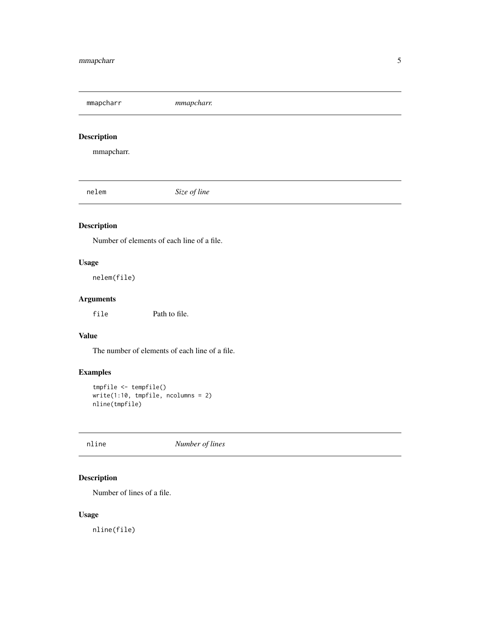<span id="page-4-0"></span>mmapcharr *mmapcharr.*

#### Description

mmapcharr.

nelem *Size of line*

#### Description

Number of elements of each line of a file.

#### Usage

nelem(file)

#### Arguments

file Path to file.

#### Value

The number of elements of each line of a file.

#### Examples

```
tmpfile <- tempfile()
write(1:10, tmpfile, ncolumns = 2)
nline(tmpfile)
```
nline *Number of lines*

#### Description

Number of lines of a file.

#### Usage

nline(file)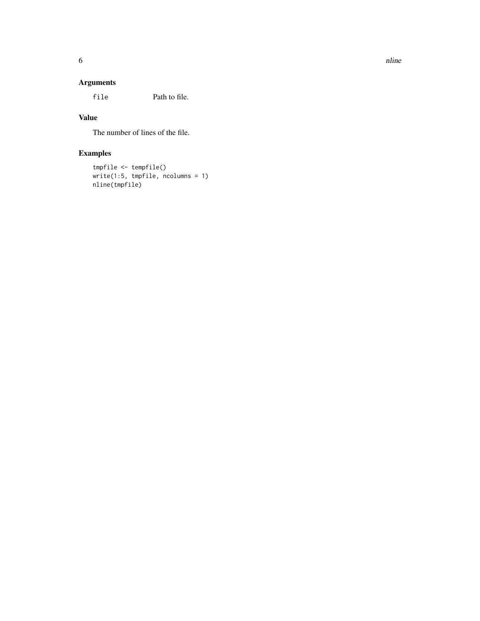#### Arguments

file Path to file.

#### Value

The number of lines of the file.

### Examples

```
tmpfile <- tempfile()
write(1:5, tmpfile, ncolumns = 1)
nline(tmpfile)
```